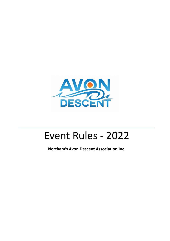

# Event Rules - 2022

**Northam's Avon Descent Association Inc.**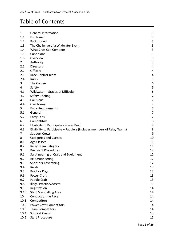## Table of Contents

| $\mathbf{1}$   | General Information                                                     | $\mathbf{3}$              |
|----------------|-------------------------------------------------------------------------|---------------------------|
| 1.1            | Disclaimer                                                              | 3                         |
| 1.2            | Background                                                              | 3                         |
| 1.3            | The Challenge of a Wildwater Event                                      | $\mathbf{3}$              |
| 1.4            | What Craft Can Compete                                                  | $\ensuremath{\mathsf{3}}$ |
| 1.5            | Conditions                                                              | $\mathsf 3$               |
| 1.6            | Overview                                                                | $\mathsf 3$               |
| $\overline{2}$ | Authority                                                               | $\mathbf{3}$              |
| 2.1            | <b>Directors</b>                                                        | 4                         |
| 2.2            | Officers                                                                | 4                         |
| 2.3            | Race Control Team                                                       | 4                         |
| 2.4            | Rules                                                                   | 5                         |
| 3              | The Course                                                              | $\boldsymbol{6}$          |
| 4              | Safety                                                                  | $\boldsymbol{6}$          |
| 4.1            | Wildwater - Grades of Difficulty                                        | $\boldsymbol{6}$          |
| 4.2            | <b>Safety Briefing</b>                                                  | 7                         |
| 4.3            | Collisions                                                              | 7                         |
| 4.4            | Overtaking                                                              | 7                         |
| 5              | <b>Entry Requirements</b>                                               | 7                         |
| 5.1            | General                                                                 | 7                         |
| 5.2            | <b>Entry Fees</b>                                                       | 7                         |
| 6              | Competitors                                                             | 8                         |
| 6.2            | Eligibility to Participate - Power Boat                                 | 8                         |
| 6.3            | Eligibility to Participate - Paddlers (includes members of Relay Teams) | 8                         |
| 7              | <b>Support Crews</b>                                                    | 9                         |
| 8              | <b>Categories and Classes</b>                                           | 10                        |
| 8.1            | <b>Age Classes</b>                                                      | 11                        |
| 8.2            | <b>Relay Team Category</b>                                              | 11                        |
| 9              | Pre Event Procedures                                                    | 12                        |
| 9.1            | Scrutineering of Craft and Equipment                                    | 12                        |
| 9.2            | Re-Scrutineering                                                        | 12                        |
| 9.3            | <b>Sponsors Advertising</b>                                             | 12                        |
| 9.4            | <b>Rivals</b>                                                           | 13                        |
| 9.5            | <b>Practice Days</b>                                                    | 13                        |
| 9.6            | <b>Power Craft</b>                                                      | 13                        |
| 9.7            | Paddle Craft                                                            | 13                        |
| 9.8            | <b>Illegal Practise/Access</b>                                          | 13                        |
| 9.9            | Registration                                                            | 14                        |
| 9.10           | <b>Start Marshalling Area</b>                                           | 14                        |
| 10             | Conduct of the Race                                                     | 14                        |
| 10.1           | Competitors                                                             | 14                        |
| 10.2           | <b>Power Craft Competitors</b>                                          | 14                        |
| 10.3           | <b>Team Competitors</b>                                                 | 14                        |
| 10.4           | <b>Support Crews</b>                                                    | 15                        |
| 10.5           | <b>Start Procedure</b>                                                  | 15                        |
|                |                                                                         |                           |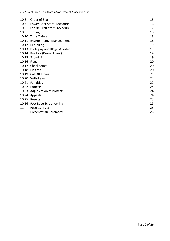2022 Event Rules – Northam's Avon Descent Association Inc.

| 10.6        | Order of Start                    | 15 |
|-------------|-----------------------------------|----|
| 10.7        | <b>Power Boat Start Procedure</b> | 16 |
| 10.8        | Paddle Craft Start Procedure      | 17 |
| 10.9        | Timing                            | 18 |
| 10.10       | <b>Time Claims</b>                | 18 |
| 10.11       | <b>Environmental Management</b>   | 18 |
|             | 10.12 Refuelling                  | 19 |
| 10.13       | Portaging and Illegal Assistance  | 19 |
|             | 10.14 Practice (During Event)     | 19 |
|             | 10.15 Speed Limits                | 19 |
| 10.16 Flags |                                   | 20 |
|             | 10.17 Checkpoints                 | 20 |
| 10.18       | Pit Area                          | 20 |
| 10.19       | <b>Cut Off Times</b>              | 21 |
|             | 10.20 Withdrawals                 | 22 |
| 10.21       | Penalties                         | 22 |
|             | 10.22 Protests                    | 24 |
|             | 10.23 Adjudication of Protests    | 24 |
|             | 10.24 Appeals                     | 24 |
|             | 10.25 Results                     | 25 |
| 10.26       | <b>Post-Race Scrutineering</b>    | 25 |
| 11          | Results/Prizes                    | 25 |
| 11.2        | <b>Presentation Ceremony</b>      | 26 |
|             |                                   |    |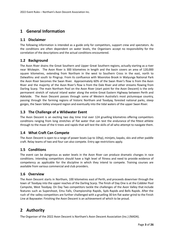## <span id="page-3-0"></span>**1 General Information**

#### <span id="page-3-1"></span>**1.1 Disclaimer**

The following information is intended as a guide only for competitors, support crew and spectators. As the conditions are often dependent on water levels, the Organisers accept no responsibility for the correlation of the descriptions and the actual conditions encountered.

#### <span id="page-3-2"></span>**1.2 Background**

The Avon River drains the Great Southern and Upper Great Southern regions, actually starting as a river near Wickepin. The Avon River is 300 kilometres in length and the basin covers an area of 120,000 square kilometres, extending from Northam in the west to Southern Cross in the east, north to Dalwallinu and south to Pingrup. From its confluence with Wooroloo Brook in Walyunga National Park the Avon River becomes the Swan River. Approximately 60% of the Swan River's flow is from the Avon River and the majority of the Avon River's flow is from the Dale River and other streams flowing from Darling Scarp. The main Northam Pool on the Avon River (start point for the Avon Descent) is the only permanent stretch of natural inland water along the entire Great Eastern Highway between Perth and Adelaide. The Avon Descent passes through some of Western Australia's most picturesque country, passing through the farming regions of historic Northam and Toodyay, forested national parks, steep gorges, the Swan Valley vineyard region and eventually into the tidal waters of the upper Swan River.

#### <span id="page-3-3"></span>**1.3 The Challenge of a Wildwater Event**

The Avon Descent is an exciting two day time trial over 124 gruelling kilometres offering competitors conditions ranging from long stretches of flat water that can test the endurance of the fittest athlete through to the maze of the ti trees and rapids that will test the skills of all who attempt to navigate them.

#### <span id="page-3-4"></span>**1.4 What Craft Can Compete**

The Avon Descent is open to a range of power boats (up to 10hp), minijets, kayaks, skis and other paddle craft. Relay teams of two and four can also compete. Entry age restrictions apply.

#### <span id="page-3-5"></span>**1.5 Conditions**

The event can be dangerous as water levels in the Avon River can produce dramatic changes in race conditions. Intending competitors should have a high level of fitness and need to provide evidence of competency as applicable for the discipline in which they intend to compete. Training courses are available from various commercial and club providers.

#### <span id="page-3-6"></span>**1.6 Overview**

The Avon Descent starts in Northam, 100 kilometres east of Perth, and proceeds downriver through the town of Toodyay into the upper reaches of the Darling Scarp. The finish of Day One is at the Cobbler Pool Campsite, West Toodyay. On Day Two competitors tackle the challenges of the Avon Valley that include features such as Supershoot, Emu Falls, Championship Rapids, Syds Rapids and Bells Rapids. After the rush of the valley competitors are further challenged with a gruelling 30 km flat water grind to the Finish Line at Bayswater. Finishing the Avon Descent is an achievement of which to be proud.

## <span id="page-3-7"></span>**2 Authority**

The Organiser of the 2022 Avon Descent is Northam's Avon Descent Association (Inc.) (NADA).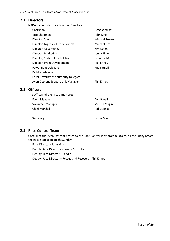#### <span id="page-4-0"></span>**2.1 Directors**

NADA is controlled by a Board of Directors:

| Chairman                            | <b>Greg Kaeding</b> |
|-------------------------------------|---------------------|
| Vice Chairman                       | John King           |
| Director, Sport                     | Michael Prosser     |
| Director, Logistics, Info & Comms   | Michael Orr         |
| Director, Governance                | Kim Epton           |
| Director, Marketing                 | Jenny Shaw          |
| Director, Stakeholder Relations     | Louanne Munz        |
| Director, Event Development         | <b>Phil Kitney</b>  |
| Power Boat Delegate                 | Kris Parnell        |
| Paddle Delegate                     |                     |
| Local Government Authority Delegate |                     |
| Avon Descent Support Unit Manager   | Phil Kitney         |
|                                     |                     |

#### <span id="page-4-1"></span>**2.2 Officers**

The Officers of the Association are: Event Manager **Deb Boxall** Volunteer Manager Manager Melissa Magini Chief Marshal Tad Sieczka Secretary **Emma** Snell

#### <span id="page-4-2"></span>**2.3 Race Control Team**

Control of the Avon Descent passes to the Race Control Team from 8:00 a.m. on the Friday before the Race Start to midnight Sunday

Race Director - John King Deputy Race Director - Power - Kim Epton Deputy Race Director – Paddle Deputy Race Director – Rescue and Recovery - Phil Kitney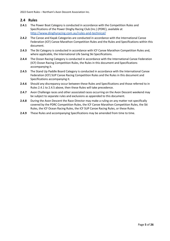#### <span id="page-5-0"></span>**2.4 Rules**

- **2.4.1** The Power Boat Category is conducted in accordance with the Competition Rules and Specifications of the Power Dinghy Racing Club (Inc.) (PDRC), available at <http://www.dinghyracing.com.au/rules-and-technical/>
- **2.4.2** The Canoe and Kayak Categories are conducted in accordance with the International Canoe Federation (ICF) Canoe Marathon Competition Rules and the Rules and Specifications within this document.
- **2.4.3** The Ski Category is conducted in accordance with ICF Canoe Marathon Competition Rules and, where applicable, the International Life Saving Ski Specifications.
- **2.4.4** The Ocean Racing Category is conducted in accordance with the International Canoe Federation (ICF) Ocean Racing Competition Rules, the Rules in this document and Specifications accompanying it.
- **2.4.5** The Stand Up Paddle Board Category is conducted in accordance with the International Canoe Federation (ICF) SUP Canoe Racing Competition Rules and the Rules in this document and Specifications accompanying it.
- **2.4.6** Should any discrepancy occur between these Rules and Specifications and those referred to in Rules 2.4.1 to 2.4.5 above, then these Rules will take precedence.
- **2.4.7** Avon Challenge races and other associated races occurring on the Avon Descent weekend may be subject to separate rules and exclusions as appended to this document.
- **2.4.8** During the Avon Descent the Race Director may make a ruling on any matter not specifically covered by the PDRC Competition Rules, the ICF Canoe Marathon Competition Rules, the Ski Rules, the ICF Ocean Racing Rules, the ICF SUP Canoe Racing Rules, or these Rules.
- **2.4.9** These Rules and accompanying Specifications may be amended from time to time.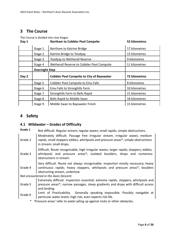## <span id="page-6-0"></span>**3 The Course**

The Course is divided into nine Stages

| Day 1 |                                         | <b>Northam to Cobbler Pool Campsite</b>           | 52 kilometres        |
|-------|-----------------------------------------|---------------------------------------------------|----------------------|
|       | Stage 1                                 | Northam to Katrine Bridge                         | 17 kilometres        |
|       | Stage 2                                 | Katrine Bridge to Toodyay                         | 15 kilometres        |
|       | Toodyay to Wetherall Reserve<br>Stage 3 |                                                   | 9 kilometres         |
|       | Stage 4                                 | Wetherall Reserve to Cobbler Pool Campsite        | 11 kilometres        |
|       | <b>Overnight Stop</b>                   |                                                   |                      |
|       |                                         |                                                   |                      |
| Day 2 |                                         | <b>Cobbler Pool Campsite to City of Bayswater</b> | <b>72 kilometres</b> |
|       | Stage 5                                 | Cobbler Pool Campsite to Emu Falls                | 8 kilometres         |
|       | Stage 6                                 | Emu Falls to Stronghills Farm                     | 10 kilometres        |
|       | Stage 7                                 | Stronghills Farm to Bells Rapid                   | 21 kilometres        |
|       | Stage 8                                 | Bells Rapid to Middle Swan                        | 18 kilometres        |

## <span id="page-6-1"></span>**4 Safety**

## <span id="page-6-2"></span>**4.1 Wildwater – Grades of Difficulty**

| Grade 1 | Not difficult. Regular stream; regular waves; small rapids; simple obstructions.                                                                                                                  |  |  |  |  |
|---------|---------------------------------------------------------------------------------------------------------------------------------------------------------------------------------------------------|--|--|--|--|
| Grade 2 | Moderately difficult. Passage free irregular stream; irregular waves; medium<br>rapids, small stoppers eddies, whirlpools and pressure areas*; simple obstructions<br>in stream; small drops.     |  |  |  |  |
| Grade 3 | Difficult. Route recognisable; high irregular waves; larger rapids; stoppers, eddies,<br>whirlpools and pressure areas*; isolated boulders, drops and numerous<br>obstructions in stream.         |  |  |  |  |
| Grade 4 | Very difficult. Route not always recognisable; inspection mostly necessary; heavy<br>continuous rapids; heavy stoppers, whirlpools and pressure areas*; boulders<br>obstructing stream, undertow. |  |  |  |  |
|         | Not encountered in the Avon Descent.                                                                                                                                                              |  |  |  |  |
| Grade 5 | Extremely difficult. Inspection essential; extreme rapids, stoppers, whirlpools and<br>pressure areas*; narrow passages, steep gradients and drops with difficult access<br>and landing.          |  |  |  |  |
| Grade 6 | Limit of Practicability. Generally speaking impossible. Possibly navigable at<br>particular water levels; high risk; even experts risk life.                                                      |  |  |  |  |

\* 'Pressure areas' refer to water piling up against rocks or other obstacles.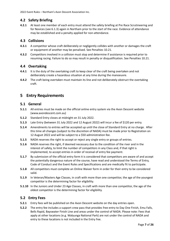#### <span id="page-7-0"></span>**4.2 Safety Briefing**

**4.2.1** At least one member of each entry must attend the safety briefing at Pre Race Scrutineering and for Novices (see 6.1.3) again in Northam prior to the start of the race. Evidence of attendance may be established and a penalty applied for non-attendance.

#### <span id="page-7-1"></span>**4.3 Collisions**

- **4.3.1** A competitor whose craft deliberately or negligently collides with another or damages the craft or equipment of another may be penalised. See Penalties 10.21.
- **4.3.2** Competitors involved in a collision must stop and determine if assistance is required prior to resuming racing. Failure to do so may result in penalty or disqualification. See Penalties 10.21.

#### <span id="page-7-2"></span>**4.4 Overtaking**

- **4.4.1** It is the duty of the overtaking craft to keep clear of the craft being overtaken and not deliberately create a hazardous situation at any time during the manoeuvre.
- **4.4.2** The craft being overtaken must maintain its line and not deliberately obstruct the overtaking craft.

## <span id="page-7-3"></span>**5 Entry Requirements**

#### <span id="page-7-4"></span>**5.1 General**

- **5.1.1** All entries must be made on the official online entry system via the Avon Descent website (www.avondescent.com.au)
- **5.1.2** Standard Entry closes at midnight on 31 July 2022.
- **5.1.3** Late Entry (between 31 July 2022 and 12 August 2022) will incur a fee of \$120 per entry.
- **5.1.4** Amendments to entries will be accepted up until the close of Standard Entry at no charge. After this time all changes (subject to the discretion of NADA) must be made prior to Registration on 12 August 2022 and will be subject to a \$50 administration fee.
- **5.1.5** NADA reserves the right to accept or reject any single entry or groups of entries.
- **5.1.6** NADA reserves the right, if deemed necessary due to the condition of the river and in the interest of safety, to limit the number of competitors in any Class and, if that right is implemented, to accept entries in order of receival of entry fee payment.
- **5.1.7** By submission of the official entry form it is considered that competitors are aware of and accept the potentially dangerous nature of the course, have read and understood the Terms of Entry, Code of Conduct and the Event Rules and Specifications and are medically fit to participate.
- **5.1.8** All competitors must complete an Online Waiver form in order for their entry to be considered valid.
- **5.1.9** In Veteran/Masters Age Classes, in craft with more than one competitor, the age of the youngest competitor is the determining factor for eligibility.
- **5.1.10** In the Juniors and Under 23 Age Classes, in craft with more than one competitor, the age of the oldest competitor is the determining factor for eligibility.

#### <span id="page-7-5"></span>**5.2 Entry Fees**

- **5.2.1** Entry fees will be published on the Avon Descent website on the day entries open.
- **5.2.2** The entry fee includes a support crew pass that provides free entry to Day One Finish, Emu Falls, Bells Rapid, Bayswater Finish Line and areas under the control of NADA. Please note: Fees that apply at other locations (e.g. Walyunga National Park) are not under the control of NADA and entry to these locations is not included in the Entry Fee.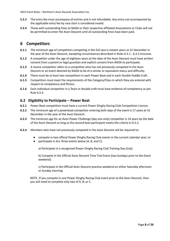- **5.2.3** The entry fee must accompany all entries and is not refundable. Any entry not accompanied by the applicable entry fee by race start is considered invalid.
- **5.2.4** Those with outstanding fines to NADA or their respective affiliated Associations or Clubs will not be permitted to enter the Avon Descent until all outstanding fines have been paid.

## <span id="page-8-0"></span>**6 Competitors**

- **6.1.1** The minimum age of competitors competing in the full race is sixteen years at 31 December in the year of the Avon Descent, excepting circumstances described in Rules 6.3.1 - 6.3.3 inclusive.
- **6.1.2** A competitor under the age of eighteen years at the date of the Avon Descent must have written consent from a parent or legal guardian and explicit consent from NADA to participate.
- **6.1.3** A novice competitor refers to a competitor who has not previously competed in the Avon Descent or an event deemed by NADA to be of a similar or equivalent status and difficulty.
- **6.1.4** There must be at least two competitors in each Power Boat and in each Double Paddle Craft.
- **6.1.5** Competitors must meet the requirements of the Category/Class in which they are entered with respect to competency and fitness.
- **6.1.6** Each individual competitor in a Team or double craft must have evidence of competency as per Rule 6.3.3.

#### <span id="page-8-1"></span>**6.2 Eligibility to Participate – Power Boat**

- **6.2.1** Power Boat competitors must have a current Power Dinghy Racing Club Competition Licence.
- **6.2.2** The minimum age of a powerboat competitor entering both days of the event is 17 years at 31 December in the year of the Avon Descent.
- **6.2.3** The minimum age for an Avon Power Challenge (day one only) competitor is 14 years by the date of the Avon Descent as long as the second boat participant meets the criteria in 6.2.2.
- **6.2.4** Members who have not previously competed in the Avon Descent will be required to:
	- compete in two official Power Dinghy Racing Club events in the current calendar year; or
	- participate in ALL three events below (A, B, and C):

a) Participate in a recognised Power Dinghy Racing Club Training Day (July).

b) Compete in the Official Avon Descent Time Trial Event (two Sundays prior to the Event weekend).

c) Participate in the Official Avon Descent practice weekend on either Saturday afternoon or Sunday morning.

<span id="page-8-2"></span>NOTE. If you compete in one Power Dinghy Racing Club event prior to the Avon Descent, then you will need to complete only two of A, B, or C.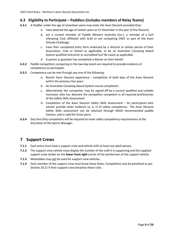#### **6.3 Eligibility to Participate – Paddlers (includes members of Relay Teams)**

- **6.3.1** A Paddler under the age of seventeen years may enter the Avon Descent provided they:
	- *a.* have attained the age of sixteen years at 31 December in the year of the Descent;
	- *b.* are a current member of Paddle Western Australia (Inc.), a member of a Surf Lifesaving Club affiliated with SLSA or are competing ONLY as part of the Avon Schools Challenge;
	- *c.* have their completed entry form endorsed by a director or similar person of their Association, Club or School as applicable, or by an Australian Canoeing Award System qualified instructor or accredited Surf Ski coach as applicable.
	- *d.* A parent or guardian has completed a Waiver on their behalf.
- **6.3.2** Paddle competitors competing in the two day event are required to provide evidence of competency to participate.
- **6.3.3** Competency can be met through any one of the following:
	- *a.* Recent Avon Descent experience completion of both days of the Avon Descent within the previous five years.
	- *b.* An Australian Canoeing Award System course completion.
	- *c.* Alternatively, the competitor may be signed off by a current qualified and suitable instructor who has deemed the competitor competent in all required proficiencies of the Safety Skills Assessment
	- *d.* Completion of the Avon Descent Safety Skills Assessment for participants who cannot provide other evidence (a, b, c) of safety competency. The Avon Descent Safety Skills assessment can be attained through NADA recommended paddle trainers, and is valid for three years.
- **6.3.4** Day One Only competitors will be required to meet safety competency requirements at the discretion of the Sports Manager.

## <span id="page-9-0"></span>**7 Support Crews**

- **7.1.1** Each entry must have a support crew and vehicle with at least one adult person.
- **7.1.2** The support crew vehicle must display the number of the craft it is supporting and the supplied support crew sticker on the **lower front right** corner of the windscreen of the support vehicle.
- **7.1.3** Motorbikes may not be used for support crew vehicles.
- **7.1.4** Each member of the support crew must know these Rules. Competitors may be penalised as per Section 10.21 if their support crew breaches these rules.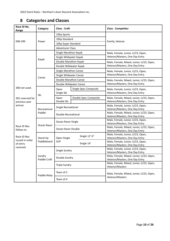| Race ID No.<br>Range | Category                | <b>Class - Craft</b>      |                        | <b>Class - Competitor</b>                                                  |  |
|----------------------|-------------------------|---------------------------|------------------------|----------------------------------------------------------------------------|--|
|                      |                         | 10hp Sports               |                        |                                                                            |  |
|                      |                         | 10hp Standard             |                        |                                                                            |  |
| 000-299              | Power                   | 10hp Super Standard       |                        | Family, Veteran                                                            |  |
|                      |                         | <b>Adventurer Class</b>   |                        |                                                                            |  |
|                      |                         | Single Marathon Kayak     |                        | Male, Female, Junior, U/23, Open,<br>Veteran/Masters, One Day Entry        |  |
|                      |                         | Single Wildwater Kayak    |                        |                                                                            |  |
|                      | Kayak                   | Double Marathon Kayak     |                        | Male, Female, Mixed, Junior, U/23, Open,                                   |  |
|                      |                         |                           | Double Wildwater Kayak | Veteran/Masters, One Day Entry                                             |  |
|                      |                         | Single Marathon Canoe     |                        | Male, Female, Junior, U/23, Open,                                          |  |
|                      |                         | Single Wildwater Canoe    |                        | Veteran/Masters, One Day Entry                                             |  |
|                      | Canoe                   |                           | Double Marathon Canoe  | Male, Female, Mixed, Junior, U/23, Open,                                   |  |
|                      |                         |                           | Double Wildwater Canoe | Veteran/Masters, One Day Entry                                             |  |
| 300 not used.        | Ski                     | Open                      | Single Spec Composite  | Male, Female, Junior, U/23, Open,                                          |  |
|                      |                         | Single Ski                |                        | Veteran/Masters, One Day Entry                                             |  |
| 301 reserved for     |                         | Open                      | Double Spec Composite  | Male, Female, Mixed, Junior, U/23, Open,                                   |  |
| previous year        |                         | Double Ski                |                        | Veteran/Masters, One Day Entry                                             |  |
| winner.              | Recreational<br>Paddle  | Single Recreational       |                        | Male, Female, Junior, U/23, Open,<br>Veteran/Masters, One Day Entry        |  |
|                      |                         | Double Recreational       |                        | Male, Female, Mixed, Junior, U/23, Open,<br>Veteran/Masters, One Day Entry |  |
|                      | Ocean Racer             | Ocean Racer Single        |                        | Male, Female, Junior, U/23, Open,                                          |  |
| Race ID Nos          |                         | Ocean Racer Double        |                        | Veteran/Masters, One Day Entry<br>Male, Female, Mixed, Junior, U/23, Open, |  |
| follow on.           |                         |                           |                        | Veteran/Masters, One Day Entry                                             |  |
| Race ID Nos          | Stand Up<br>Paddleboard |                           | Single 12' 6"          | Male, Female, Junior, U/23, Open,                                          |  |
| issued in order      |                         | Open Single<br><b>SUP</b> |                        | Veteran/Masters, One Day Entry                                             |  |
| of entry             |                         |                           | Single 14'             | Male, Female, Junior, U/23, Open,<br>Veteran/Masters, One Day Entry        |  |
| received.            |                         |                           |                        | Male, Female, Junior, U/23, Open,                                          |  |
|                      | Sundry<br>Paddle Craft  | Single Sundry             |                        | Veteran/Masters, One Day Entry                                             |  |
|                      |                         | Double Sundry             |                        | Male, Female, Mixed, Junior, U/23, Open,                                   |  |
|                      |                         |                           |                        | Veteran/Masters, One Day Entry<br>Male, Female, Mixed, Junior, U/23, Open, |  |
|                      |                         | <b>Triple Sundry</b>      |                        | Veteran/Masters                                                            |  |
|                      | Paddle Relay            | Team of 2                 |                        | Male, Female, Mixed, Junior, U/23, Open,<br>Veteran/Masters                |  |
|                      |                         | Team of 4                 |                        |                                                                            |  |

## <span id="page-10-0"></span>**8 Categories and Classes**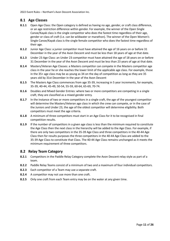#### <span id="page-11-0"></span>**8.1 Age Classes**

- **8.1.1** Open Age Class: the Open category is defined as having no age, gender, or craft class difference, or an age restriction difference within gender. For example, the winner of the Open Single Canoe/Kayak class is the single competitor who does the fastest time regardless of their age, gender or class of craft (i.e. can be wildwater or marathon). The winner of the Open Women's Single Canoe/Kayak class is the single female competitor who does the fastest time regardless of their age.
- **8.1.2** Junior Age Class: a junior competitor must have attained the age of 16 years on or before 31 December in the year of the Avon Descent and must be less than 18 years of age at that date.
- **8.1.3** Under 23 Age Class: an Under 23 competitor must have attained the age of 18 years on or before 31 December in the year of the Avon Descent and must be less than 23 years of age at that date.
- **8.1.4** Masters/Veteran Age Classes: a Masters competitor can compete in the Masters competitor age class in the year he or she reaches the lower limit of the applicable age class. For example, those in the 35+ age class may be as young as 34 on the day of competition as long as they are 35 years old by 31st December in the year of the Avon Descent
- **8.1.5** The Masters Age Class commences from age 35-39, increasing in 5 year increments, for example, 35-39, 40-44, 45-49, 50-54, 55-59, 60-64, 65-69, 70-74.
- **8.1.6** Doubles and Mixed Gender Entries: where two or more competitors are competing in a single craft, they are classified as a mixed gender entry.
- **8.1.7** In the instance of two or more competitors in a single craft, the age of the youngest competitor will determine the Masters/Veteran age class in which the crew can compete, or in the case of the Juniors and Under 23, the age of the oldest competitor will determine eligibility. Both competitors must meet the age criteria.
- **8.1.8** A minimum of three competitors must start in an Age Class for it to be recognised in final competition results.
- **8.1.9** If the number of competitors in a given age class is less than the minimum required to constitute the Age Class then the next class in the hierarchy will be added to the Age Class. For example, if there are only two competitors in the 35-39 Age Class and three competitors in the 40-44 Age Class then for results purposes the three competitors in the 40-44 Age Class are added to the 35-39 Age Class to constitute that Class. The 40-44 Age Class remains unchanged as it meets the minimum requirement of three competitors.

#### <span id="page-11-1"></span>**8.2 Relay Team Category**

- **8.2.1** Competitors in the Paddle Relay Category complete the Avon Descent relay style as part of a team.
- **8.2.2** Paddle Relay Teams consist of a minimum of two and a maximum of four individual competitors.
- **8.2.3** Each competitor of a Team may use a separate craft.
- **8.2.4** A competitor may not use more than one craft.
- **8.2.5** Only one craft from each Team entry may be on the water at any given time.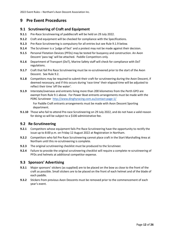## <span id="page-12-0"></span>**9 Pre Event Procedures**

#### <span id="page-12-1"></span>**9.1 Scrutineering of Craft and Equipment**

- **9.1.1** Pre-Race Scrutineering of paddlecraft will be held on 29 July 2022.
- **9.1.2** Craft and equipment will be checked for compliance with the Specifications.
- **9.1.3** Pre-Race Scrutineering is compulsory for all entries but see Rule 9.1.9 below.
- **9.1.4** The Scrutineer is a 'judge of fact' and a protest may not be made against their decision.
- **9.1.5** Personal Flotation Devices (PFDs) may be tested for buoyancy and construction. An Avon Descent 'pass tag' will be attached. Paddle Competitors only.
- **9.1.6** Department of Transport (DoT), Marine Safety staff will check for compliance with DoT regulations.
- **9.1.7** Craft that fail Pre Race Scrutineering must be re-scrutineered prior to the start of the Avon Descent. See Rule 9.2.
- **9.1.8** Competitors may be required to submit their craft for scrutineering during the Avon Descent, if deemed necessary, and if this occurs during 'race time' their elapsed time will be adjusted to reflect their time 'off the water'.
- **9.1.9** Interstate/overseas and entrants living more than 200 kilometres from the Perth GPO are exempt from Rule 9.1 above. For Power Boat entrants arrangements must be made with the PDRC Scrutineer <http://www.dinghyracing.com.au/contact-page-1/>

For Paddle Craft entrants arrangements must be made with Avon Descent Sporting department.

**9.1.10** Those who fail to attend Pre-race Scrutineering on 29 July 2022, and do not have a valid reason for doing so will be subject to a \$100 administrative fee.

#### <span id="page-12-2"></span>**9.2 Re-Scrutineering**

- **9.2.1** Competitors whose equipment fails Pre Race Scrutineering have the opportunity to rectify the issue up to 8:00 p.m. on Friday 12 August 2022 at Registration in Northam.
- **9.2.2** Competitors who fail Pre Race Scrutineering cannot place craft in the Start Marshalling Area at Northam until this re-scrutineering is complete.
- **9.2.3** The original scrutineering checklist must be produced to the Scrutineer.
- **9.2.4** Failure to provide the original scrutineering checklist will require a complete re-scrutineering of PFDs and helmets at additional competitor expense.

#### <span id="page-12-3"></span>**9.3 Sponsors' Advertising**

- **9.3.1** Major sponsors' stickers (as supplied) are to be placed on the bow as close to the front of the craft as possible. Small stickers are to be placed on the front of each helmet and of the blade of each paddle.
- **9.3.2** Stickers from previous Avon Descents must be removed prior to the commencement of each year's event.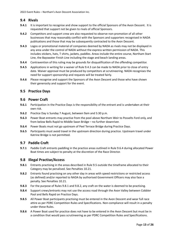#### <span id="page-13-0"></span>**9.4 Rivals**

- **9.4.1** It is important to recognise and show support to the official Sponsors of the Avon Descent. It is requested that support not be given to rivals of official Sponsors.
- **9.4.2** Competitors and support crew are also requested to observe non-promotion of all other businesses that may reasonably conflict with the Sponsors and supporters recognised in NADA publications and those that may be subsequently contracted to the Avon Descent.
- **9.4.3** Logos or promotional material of companies deemed by NADA as rivals may not be displayed in any area under the control of NADA without the express written permission of NADA. This includes stickers, hats, T shirts, jackets, paddles. Areas include the entire course, Northam Start Line, the Bayswater Finish Line including the stage and beach landing areas.
- **9.4.4** Contravention of this ruling may be grounds for disqualification of the offending competitor.
- **9.4.5** Applications in writing for a waiver of Rule 9.4.3 can be made to NADA prior to close of entry date. Waiver approval must be produced by competitors at scrutineering. NADA recognises the need for support sponsorship and requests will be treated fairly.
- **9.4.6** Please recognise and support the Sponsors of the Avon Descent and those who have shown their generosity and support for the event.

#### <span id="page-13-1"></span>**9.5 Practice Days**

#### <span id="page-13-2"></span>**9.6 Power Craft**

- **9.6.1** Participation in the Practice Days is the responsibility of the entrant and is undertaken at their own risk.
- **9.6.2** Practice Day is Sunday 7 August, between 9am and 5:30 p.m.
- **9.6.3** Power Boat entrants may practise from the pool above Northam Weir to Posselts Ford only, and from below Bells Rapid to Middle Swan Bridge – no further downriver.
- **9.6.4** Power Boats must not go upstream of Peel Terrace Bridge during Practice Days.
- **9.6.5** Participants must avoid travel in the upstream direction during practice. Upstream travel under Katrine Bridge is not permitted.

#### <span id="page-13-3"></span>**9.7 Paddle Craft**

**9.7.1** Paddle Craft entrants paddling in the practice areas outlined in Rule 9.6.4 during allocated Power Boat times are subject to penalty at the discretion of the Race Director.

#### <span id="page-13-4"></span>**9.8 Illegal Practise/Access**

- **9.8.1** Entrants practising in the areas described in Rule 9.5 outside the timeframe allocated to their Category may be penalised. See Penalties 10.21.
- **9.8.2** Entrants found practising on any other day in areas with speed restrictions or restricted access (as defined) and/or reported to NADA by authorised Government Officers may also face a penalty. See Penalties 10.21.
- **9.8.3** For the purpose of Rules 9.8.1 and 9.8.2, any craft on the water is deemed to be practising.
- **9.8.4** Support crews/entrants may not use the access road through the Avon Valley between Cobbler Pool and Bells Rapid on Practice Days.
- **9.8.5** All Power Boat participants practising must be entered in the Avon Descent and wear full race attire as per PDRC Competition Rules and Specifications. Non-compliance will result in a penalty under these Rules.
- **9.8.6** A Power Boat used for practice does not have to be entered in the Avon Descent but must be in a condition that would pass scrutineering as per PDRC Competition Rules and Specifications.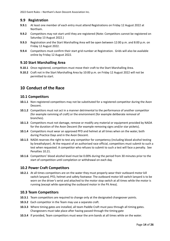#### <span id="page-14-0"></span>**9.9 Registration**

- **9.9.1** At least one member of each entry must attend Registrations on Friday 12 August 2022 at Northam.
- **9.9.2** Competitors may not start until they are registered (Note: Competitors cannot be registered on Saturday 13 August 2022.)
- **9.9.3** Registration and the Start Marshalling Area will be open between 12:00 p.m. and 8:00 p.m. on Friday 12 August 2022.
- **9.9.4** Competitors must confirm their start grid number at Registration. Grids will also be available online by Friday 12 August 2022.

#### <span id="page-14-1"></span>**9.10 Start Marshalling Area**

- **9.10.1** Once registered, competitors must move their craft to the Start Marshalling Area.
- **9.10.2** Craft not in the Start Marshalling Area by 10:00 p.m. on Friday 12 August 2022 will not be permitted to start.

## <span id="page-14-2"></span>**10 Conduct of the Race**

#### <span id="page-14-3"></span>**10.1 Competitors**

- **10.1.1** Non-registered competitors may not be substituted for a registered competitor during the Avon Descent.
- **10.1.2** Competitors must not act in a manner detrimental to the performance of another competitor (for example ramming of craft) or the environment (for example deliberate removal of branches).
- **10.1.3** Competitors must not damage, remove or modify any material or equipment provided by NADA for the duration of the Avon Descent (for example removing signs and/or star pickets).
- **10.1.4** Competitors must wear an approved PFD and helmet at all times when on the water, both during Practice Days and in the Avon Descent.
- **10.1.5** NADA reserves the right to test any competitor for competency (including blood alcohol testing by breathalyser). At the request of an authorised race official, competitors must submit to such a test when requested. A competitor who refuses to submit to such a test will face a penalty. See Penalties 10.21.
- **10.1.6** Competitors' blood alcohol level must be 0.00% during the period from 30 minutes prior to the start of competition until completion or withdrawal on each day.

#### <span id="page-14-4"></span>**10.2 Power Craft Competitors**

**10.2.1** At all times competitors are on the water they must properly wear their outboard motor kill switch lanyard, PFD, helmet and safety footwear. The outboard motor kill switch lanyard is to be worn on the driver's wrist and attached to the motor stop switch at all times while the motor is running (except while operating the outboard motor in the Pit Area).

#### <span id="page-14-5"></span>**10.3 Team Competitors**

- **10.3.1** Team competitors are required to change only at the designated changeover points.
- **10.3.2** Each competitor in the Team may use a separate craft.
- **10.3.3** Where timing gates are installed, all team Paddle Craft must pass through all timing gates. Changeovers must take place after having passed through the timing gate
- **10.3.4** If provided, Team competitors must wear the arm bands at all times while on the water.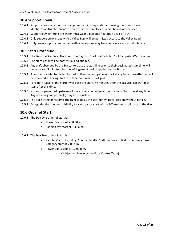#### <span id="page-15-0"></span>**10.4 Support Crews**

- **10.4.1** Support crews must not use orange, red or pink flag material showing their Team Race Identification Number to wave down their craft. A black or white board may be used.
- **10.4.2** Support crew entering the water must wear a personal floatation device (PFD).
- **10.4.3** Only support crew issued with a Valley Pass will be permitted access to the Valley Road.
- **10.4.4** Only Team support crews issued with a Valley Pass may have vehicle access to Bells Rapids.

#### <span id="page-15-1"></span>**10.5 Start Procedure**

- **10.5.1** The Day One Start is at Northam. The Day Two Start is at Cobbler Pool Campsite, West Toodyay.
- **10.5.2** The start signal will be both visual and audible.
- **10.5.3** Any craft observed by the Starter to cross the start line prior to their designated start time will be penalised 5 minutes plus the infringement period applied by the Starter.
- **10.5.4** A competitor who has failed to start in their correct grid may start at any time thereafter but will be recorded as having started in their nominated start grid.
- **10.5.5** For safety reasons, the Starter will close the Start five minutes after the last grid. No craft may start after this time.
- **10.5.6** No craft is permitted upstream of the suspension bridge at the Northam Start Line at any time. Any offending competitor(s) may be disqualified.
- **10.5.7** The Race Director reserves the right to delay the start for whatever reason, without notice.
- **10.5.8** As a guide, the minimum visibility to allow a race start will be 100 metres on all parts of the river.

#### <span id="page-15-2"></span>**10.6 Order of Start**

- **10.6.1 The Day One** order of start is:
	- a. Power Boats start at 8:00 a.m.
	- b. Paddle Craft start at 8:30 a.m.
- **10.6.2** The **Day Two** order of start is:
	- a. Paddle Craft, including Sundry Paddle Craft, in fastest first order regardless of Category start at 7:00 a.m.
	- b. Power Boats start at 12:00 p.m.

(Subject to change by the Race Control Team)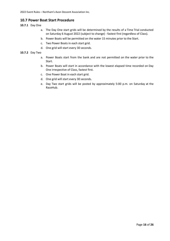#### <span id="page-16-0"></span>**10.7 Power Boat Start Procedure**

#### **10.7.1** Day One

- a. The Day One start grids will be determined by the results of a Time Trial conducted on Saturday 6 August 2022 (subject to change) - fastest first (regardless of Class).
- b. Power Boats will be permitted on the water 15 minutes prior to the Start.
- c. Two Power Boats in each start grid.
- d. One grid will start every 30 seconds.

#### **10.7.2** Day Two

- a. Power Boats start from the bank and are not permitted on the water prior to the Start.
- b. Power Boats will start in accordance with the lowest elapsed time recorded on Day One irrespective of Class, fastest first.
- c. One Power Boat in each start grid.
- d. One grid will start every 30 seconds.
- e. Day Two start grids will be posted by approximately 5:00 p.m. on Saturday at the RaceHub.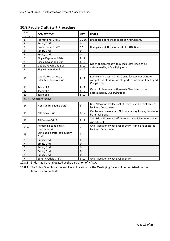| GRID<br>(60 sec) | <b>COMPETITORS</b>                              | QTY         | <b>NOTES</b>                                                                                                                          |
|------------------|-------------------------------------------------|-------------|---------------------------------------------------------------------------------------------------------------------------------------|
| $\mathbf{1}$     | Promotional Grid 1                              | $10 - 16$   | (If applicable) At the request of NADA Board.                                                                                         |
| $\overline{2}$   | <b>Empty Grid</b>                               | $\mathbf 0$ |                                                                                                                                       |
| 3                | <b>Promotional Grid 2</b>                       | 12          | (If applicable) At the request of NADA Board.                                                                                         |
| 4                | <b>Empty Grid</b>                               | $\mathbf 0$ |                                                                                                                                       |
| 5                | <b>Empty Grid</b>                               | $\mathbf 0$ |                                                                                                                                       |
| 6                | Single Kayaks and Skis                          | $8 - 12$    |                                                                                                                                       |
| $\overline{7}$   | Single Kayaks and Skis                          | $8 - 12$    |                                                                                                                                       |
| 8                | Double Kayaks and Skis                          | $8 - 12$    | Order of placement within each Class listed to be<br>determined by a Qualifying race                                                  |
| 9                | Single Recreational                             | $8 - 12$    |                                                                                                                                       |
| 10               | Double Recreational/<br>Interstate Reserve Grid | $8 - 12$    | Remaining places in Grid 10 used for top 'out of State'<br>competitors at discretion of Sport Department. Empty grid<br>if applicable |
| 11               | Team of 2                                       | $8 - 12$    |                                                                                                                                       |
| 12               | Team of 2                                       | $8 - 12$    | Order of placement within each Class listed to be                                                                                     |
| 13               | Team of 4                                       | $8 - 12$    | determined by Qualifying race                                                                                                         |
|                  | FINISH OF SUPER GRIDS                           |             |                                                                                                                                       |
| 14               | Non-sundry paddle craft                         | 8           | Grid Allocation by Receival of Entry - can be re-allocated<br>by Sport Department                                                     |
| 15               | All Female Grid                                 | $8 - 12$    | Can be any type of craft. Not compulsory for any female to<br>be in these Grids.                                                      |
| 16               | All Female Grid 2                               | $8 - 12$    | This Grid will be empty if there are insufficient numbers to<br>constitute it.                                                        |
| $17$ on          | Remaining paddle craft<br>(non-sundry)          | 8           | Grid Allocation by Receival of Entry - can be re-allocated<br>by Sport Department                                                     |
| 55               | Last paddle craft (non-sundry)<br>Grid          | ?           |                                                                                                                                       |
| 5.               | <b>Empty Grid</b>                               | $\mathbf 0$ |                                                                                                                                       |
| ?                | <b>Empty Grid</b>                               | $\mathbf 0$ |                                                                                                                                       |
| ?                | <b>Empty Grid</b>                               | $\mathbf 0$ |                                                                                                                                       |
| ?                | <b>Empty Grid</b>                               | $\pmb{0}$   |                                                                                                                                       |
| ?                | <b>Empty Grid</b>                               | 0           |                                                                                                                                       |
| $\overline{?}$   | <b>Sundry Paddle Craft</b>                      | $8 - 12$    | Grid Allocation by Receival of Entry.                                                                                                 |

## <span id="page-17-0"></span>**10.8 Paddle Craft Start Procedure**

**10.8.1** Grids may be re-allocated at the discretion of NADA.

**10.8.2** The Rules, Start Location and Finish Location for the Qualifying Race will be published on the Avon Descent website.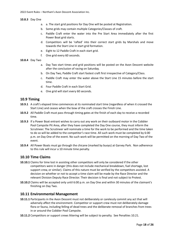#### **10.8.3** Day One

- a. a. The start grid positions for Day One will be posted at Registration.
- b. Some grids may contain multiple Categories/Classes of craft.
- c. Paddle Craft enter the water into the Pre Start Area immediately after the first Power Boat grid starts.
- d. Competitors will be 'rafted' into their correct start grids by Marshals and move towards the Start Line in start grid formation.
- e. Eight to 12 Paddle Craft in each start grid.
- f. One grid every 60 seconds.

#### **10.8.4** Day Two

- a. Day Two start times and grid positions will be posted on the Avon Descent website after the conclusion of racing on Saturday.
- b. On Day Two, Paddle Craft start fastest craft first irrespective of Category/Class.
- c. Paddle Craft may enter the water above the Start Line 15 minutes before the start time.
- d. Four Paddle Craft in each Start Grid.
- e. One grid will start every 60 seconds.

#### <span id="page-18-0"></span>**10.9 Timing**

- **10.9.1** A craft's elapsed time commences at its nominated start time (regardless of when it crossed the Start Line) and ceases when the bow of the craft crosses the Finish Line.
- **10.9.2** All Paddle Craft must pass through timing gates at the finish of each day to receive a recorded time.
- **10.9.3** If a Power Boat entrant wishes to carry out any work on their outboard motor in the Cobbler Pool Campsite Pit Area, after they have completed the Day One course, they must inform the Scrutineer. The Scrutineer will nominate a time for the work to be performed and the time taken to do so will be added to the competitor's race time. All such work must be completed by 6:00 p.m. on Day One of the event. No such work will be permitted on the morning of Day Two of the event.
- **10.9.4** All Power Boats must go through the chicane (marked by buoys) at Garvey Park. Non adherence to this rule will incur a 10 minute time penalty.

#### <span id="page-18-1"></span>**10.10 Time Claims**

- **10.10.1** Claims for time lost in assisting other competitors will only be considered if the other competitors were in danger (this does not include mechanical breakdown, fuel shortage, lost support crew, or similar). Claims of this nature must be verified by the competitors assisted. A decision on whether or not to accept a time claim will be made by the Race Director and the relevant Division Deputy Race Director. Their decision is final and not subject to Protest.
- **10.10.2** Claims will be accepted only until 6:00 p.m. on Day One and within 30 minutes of the claimant's finishing on Day Two.

#### <span id="page-18-2"></span>**10.11 Environmental Management**

- **10.11.1** Participants in the Avon Descent must not deliberately or carelessly commit any act that will adversely affect the environment. Competitor or support crew must not deliberately damage flora or fauna, including felling of dead trees and the deliberate removal of branches from trees in or around the Cobbler Pool Campsite.
- **10.11.2** Competitors or support crews littering will be subject to penalty. See Penalties 10.21.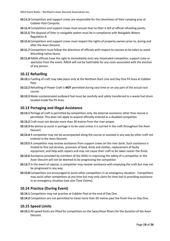- **10.11.3** Competitors and support crews are responsible for the cleanliness of their camping area at Cobbler Pool Campsite.
- **10.11.4** Competitors and support crews must ensure that no litter is left at official refuelling points.
- **10.11.5** The disposal of litter in navigable waters must be in compliance with Navigable Waters Regulation 8.
- **10.11.6** Competitors and support crews must respect the rights of property owners prior to, during and after the Avon Descent.
- **10.11.7** Competitors must follow the directions of officials with respect to courses to be taken to avoid disturbing native fauna.
- **10.11.8** NADA officials have the right to immediately evict any intoxicated competitor, support crew or spectator from the event. NADA will not be held liable for any costs associated with the eviction of any person.

#### <span id="page-19-0"></span>**10.12 Refuelling**

- **10.12.1** Fuelling of craft may take place only at the Northam Start Line and Day One Pit Area at Cobbler Pool.
- **10.12.2** Refuelling of Power Craft is **NOT** permitted during race time or on any part of the actual race course.
- **10.12.3** Water-contaminated outboard fuel must be carefully and safely transferred to a waste fuel drum located inside the Pit Area.

#### <span id="page-19-1"></span>**10.13 Portaging and Illegal Assistance**

- **10.13.1** Portage of craft is permitted by competitors only. No external assistance other than rescue is permitted. This does not apply to anyone officially entered as a disabled competitor.
- **10.13.2** Craft must not deviate more than 30 metres from the river proper.
- **10.13.3** No device to assist in portage is to be used unless it is carried in the craft throughout the Avon Descent.
- **10.13.4** A competitor may not be accompanied along the course or assisted in any way by other craft not entered in the Avon Descent.
- **10.13.5** A competitor may receive assistance from support crews on the river bank. Such assistance is limited to first aid services, provision of food, drink and clothes, replacement of faulty equipment, and help with repairs and may not cause their craft to be taken nearer the finish.
- **10.13.6** Assistance provided by members of the ADSU in improving the safety of a competitor or the Avon Descent will not be deemed to be progressing the competitor.
- **10.13.7** In the event of capsize, a competitor may receive assistance with emptying the craft but may not be progressed in any way.
- **10.13.8** Competitors are encouraged to assist other competitors in an emergency situation. Competitors may assist other competitors at any time but may only claim for time lost in providing assistance in an emergency situation (see also Time Claims).

#### <span id="page-19-2"></span>**10.14 Practice (During Event)**

- **10.14.1** Competitors may not practise at Cobbler Pool at the end of Day One.
- **10.14.2** Competitors are not permitted to travel more than 50 metres past the finish line on Day One.

#### <span id="page-19-3"></span>**10.15 Speed Limits**

**10.15.1** All speed limits are lifted for competitors on the Swan/Avon Rivers for the duration of the Avon Descent.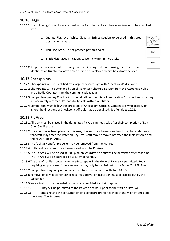2022 Event Rules – Northam's Avon Descent Association Inc.

#### <span id="page-20-0"></span>**10.16 Flags**

- **10.16.1** The following Official Flags are used in the Avon Descent and their meanings must be complied with:
	- a. **Orange Flag:** with White Diagonal Stripe: Caution to be used in this area, obstruction ahead.
	- b. **Red Flag:** Stop. Do not proceed past this point.
	- c. **Black Flag:** Disqualification. Leave the water immediately.
- **10.16.2** Support crews must not use orange, red or pink flag material showing their Team Race Identification Number to wave down their craft. A black or white board may be used.

#### <span id="page-20-1"></span>**10.17 Checkpoints**

- **10.17.1** Checkpoints will be identified by a large checkered sign with "Checkpoint" displayed.
- **10.17.2** Checkpoints will be attended by an all-volunteer Checkpoint Team from the Ascot Kayak Club and a Radio Operator from the communications team.
- **10.17.3** Competitors passing Checkpoints should call out their Race Identification Number to ensure they are accurately recorded. Responsibility rests with competitors.
- **10.17.4** Competitors must follow the directions of Checkpoint Officials. Competitors who disobey or ignore the directions of Checkpoint Officials may be penalised. See Penalties 10.21.

#### <span id="page-20-2"></span>**10.18 Pit Area**

- **10.18.1** All craft must be placed in the designated Pit Area immediately after their completion of Day One. See Practice.
- **10.18.2** Once craft have been placed in this area, they must not be removed until the Starter declares that craft may enter the water on Day Two. Craft may be moved between the main Pit Area and the Power Tool Pit Area.
- **10.18.3** The fuel tank and/or propeller may be removed from the Pit Area.
- **10.18.4** Outboard motors must not be removed from the Pit Area.
- **10.18.5** The Pit Area will be closed at 6:00 p.m. on Saturday, no entry will be permitted after that time. The Pit Area will be patrolled by security personnel.
- **10.18.6** The use of cordless power tools to effect repairs in the General Pit Area is permitted. Repairs requiring supply power from a generator may only be carried out in the Power Tool Pit Area.
- **10.18.7** Competitors may carry out repairs to motors in accordance with Rule 10.9.3.
- **10.18.8** Removal of cowl tape, for either repair (as above) or inspection must be carried out by the Scrutineer.
- **10.18.9** Waste fuel is to be discarded in the drums provided for that purpose.
- **10.18.10** Entry will be permitted to the Pit Area one hour prior to the start on Day Two.
- **10.18.11** Smoking and the consumption of alcohol are prohibited in both the main Pit Area and the Power Tool Pit Area.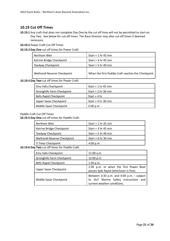#### <span id="page-21-0"></span>**10.19 Cut Off Times**

- **10.19.1** Any craft that does not complete Day One by the cut off time will not be permitted to start on Day Two. See below for cut-off times. The Race Director may alter cut-off times if deemed necessary.
- **10.19.2** Power Craft Cut Off Times

#### **10.19.3 Day One** cut off times for Power Craft:

| Northam Weir                 | Start $+1$ hr 45 min                               |
|------------------------------|----------------------------------------------------|
| Katrine Bridge Checkpoint    | Start $+3$ hr 45 min                               |
| Toodyay Checkpoint           | Start $+5$ hr 40 min                               |
| Wetherall Reserve Checkpoint | When the first Paddle Craft reaches the Checkpoint |

#### **10.19.4 Day Two** cut off times for Power Craft:

| Emu Falls Checkpoint               | Start $+1$ hr 45 min |
|------------------------------------|----------------------|
| <b>Stronghills Farm Checkpoint</b> | Start $+2$ hr 30 min |
| <b>Bells Rapid Checkpoint</b>      | Start $+4$ hr        |
| Upper Swan Checkpoint              | Start $+4$ hr 30 min |
| Middle Swan Checkpoint             | 5:00 p.m.            |

#### Paddle Craft Cut Off Times

#### **10.19.5 Day One** cut off times for Paddle Craft:

| Northam Weir                 | Start $+1$ hr 45 min |
|------------------------------|----------------------|
| Katrine Bridge Checkpoint    | Start $+3$ hr 45 min |
| Toodyay Checkpoint           | Start $+5$ hr 40 min |
| Wetherall Reserve Checkpoint | Start $+6$ hr 30 min |
| Ti Trees Checkpoint          | 4:00 p.m.            |

#### **10.19.6 Day Two** cut off times for Paddle Craft:

| Emu Falls Checkpoint               | 11:00 a.m.                                                                                                             |
|------------------------------------|------------------------------------------------------------------------------------------------------------------------|
| <b>Stronghills Farm Checkpoint</b> | 12:00 p.m.                                                                                                             |
| <b>Bells Rapid Checkpoint</b>      | 1:30 p.m.                                                                                                              |
| <b>Upper Swan Checkpoint</b>       | 2:30 p.m. or when the first Power Boat<br>passes Syds Rapid (whichever is first).                                      |
| Middle Swan Checkpoint             | Between 3:30 p.m. and 4:00 p.m. $-$ subject<br>DoT Marine Safety instructions and<br>to<br>current weather conditions. |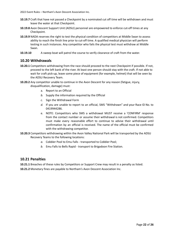- **10.19.7** Craft that have not passed a Checkpoint by a nominated cut off time will be withdrawn and must leave the water at that Checkpoint.
- **10.19.8** Avon Descent Support Unit (ADSU) personnel are empowered to enforce cut-off times at any Checkpoint.
- **10.19.9** NADA reserves the right to test the physical condition of competitors at Middle Swan to assess ability to reach the finish line prior to cut-off time. A qualified medical physician will perform testing in such instances. Any competitor who fails the physical test must withdraw at Middle Swan.
- **10.19.10** A sweep boat will patrol the course to verify clearance of craft from the water.

#### <span id="page-22-0"></span>**10.20 Withdrawals**

- **10.20.1** Competitors withdrawing from the race should proceed to the next Checkpoint if possible. If not, proceed to the left bank of the river. At least one person should stay with the craft. If not able to wait for craft pick-up, leave some piece of equipment (for example, helmet) that will be seen by the ADSU Recovery Team.
- **10.20.2** Any competitor unable to continue in the Avon Descent for any reason (fatigue, injury, disqualification, damage) must:
	- a. Report to an Official
	- *b.* Supply the information required by the Official
	- *c.* Sign the Withdrawal Form
	- *d.* If you are unable to report to an official, SMS "Withdrawn" and your Race ID No. to 0419944286.
	- e. NOTE: Competitors who SMS a withdrawal MUST receive a 'CONFIRM' response from the contact number or assume their withdrawal is not confirmed. Competitors must make every reasonable effort to continue to advise their withdrawal until confirmation by an official is received. The name of the official must be confirmed with the withdrawing competitor.
- **10.20.3** Competitors withdrawing within the Avon Valley National Park will be transported by the ADSU Recovery Teams to the following locations:
	- *a.* Cobbler Pool to Emu Falls transported to Cobbler Pool;
	- *b.* Emu Falls to Bells Rapid transport to Brigadoon Fire Station.

#### <span id="page-22-1"></span>**10.21 Penalties**

**10.21.1** Breaches of these rules by Competitors or Support Crew may result in a penalty as listed.

**10.21.2** Monetary fines are payable to Northam's Avon Descent Association Inc.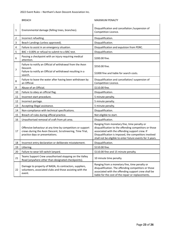|                | <b>BREACH</b>                                                                                                                                             | <b>MAXIMUM PENALTY</b>                                                                                                                                                                                                                                                        |
|----------------|-----------------------------------------------------------------------------------------------------------------------------------------------------------|-------------------------------------------------------------------------------------------------------------------------------------------------------------------------------------------------------------------------------------------------------------------------------|
| $\mathbf 1$    | Environmental damage (felling trees, branches).                                                                                                           | Disqualification and cancellation /suspension of<br>Competition Licence.                                                                                                                                                                                                      |
| 2              | Incorrect refuelling.                                                                                                                                     | Disqualification.                                                                                                                                                                                                                                                             |
| 3              | Beach Landings (unless approved).                                                                                                                         | Disqualification.                                                                                                                                                                                                                                                             |
| 4              | Failure to assist in an emergency situation.                                                                                                              | Disqualification and expulsion from PDRC.                                                                                                                                                                                                                                     |
| 5              | BAC > 0.00% or refusal to submit to a BAC test.                                                                                                           | Disqualification.                                                                                                                                                                                                                                                             |
| 6              | Passing a checkpoint with an injury requiring medical<br>attention.                                                                                       | \$200.00 fine.                                                                                                                                                                                                                                                                |
| $\overline{7}$ | Failure to notify an Official of withdrawal from the Avon<br>Descent.<br>Failure to notify an Official of withdrawal resulting in a                       | \$550.00 fine.                                                                                                                                                                                                                                                                |
|                | search.                                                                                                                                                   | \$1000 fine and liable for search costs.                                                                                                                                                                                                                                      |
| 8              | Failure to leave the water after having been withdrawn by<br>an Official.                                                                                 | Disqualification and cancellation/ suspension of<br>Competition Licence.                                                                                                                                                                                                      |
| 9              | Abuse of an Official.                                                                                                                                     | \$110.00 fine.                                                                                                                                                                                                                                                                |
| 10             | Failure to obey an official flag.                                                                                                                         | Disqualification.                                                                                                                                                                                                                                                             |
| 11             | Incorrect start procedure.                                                                                                                                | 5 minute penalty.                                                                                                                                                                                                                                                             |
| 12             | Incorrect portage.                                                                                                                                        | 5 minute penalty.                                                                                                                                                                                                                                                             |
| 13             | Accepting illegal assistance.                                                                                                                             | 5 minute penalty.                                                                                                                                                                                                                                                             |
| 14             | Non-compliance with technical specifications.                                                                                                             | Disqualification.                                                                                                                                                                                                                                                             |
| 15             | Breach of rules during official practice.                                                                                                                 | Not eligible to start.                                                                                                                                                                                                                                                        |
| 16             | Unauthorised removal of craft from pit area.                                                                                                              | Disqualification.                                                                                                                                                                                                                                                             |
| 17             | Offensive behaviour at any time by competitors or support<br>crews during the Avon Descent, Scrutineering, Time Trial,<br>practice days or presentations. | Ranging from monetary fine, time penalty or<br>disqualification to the offending competitors or those<br>associated with the offending support crew. If<br>Disqualification is imposed, the competitors involved<br>shall not be eligible to enter future events for 3 years. |
| 18             | Incorrect entry declaration or deliberate misstatement.                                                                                                   | Disqualification.                                                                                                                                                                                                                                                             |
| 19             | Littering.                                                                                                                                                | \$110.00 fine.                                                                                                                                                                                                                                                                |
| 20             | Failure to wear kill switch lanyard.                                                                                                                      | \$110.00 fine and 15 minute penalty.                                                                                                                                                                                                                                          |
| 21             | Teams Support Crew unauthorised stopping on the Valley<br>Road (anywhere other than designated checkpoints).                                              | 10 minute time penalty.                                                                                                                                                                                                                                                       |
| 22             | Damage to property of NADA, its contractors, suppliers,<br>volunteers, associated clubs and those assisting with the<br>event.                            | Ranging from a monetary fine, time penalty or<br>disqualification. The offending competitors or those<br>associated with the offending support crew shall be<br>liable for the cost of the repair or replacements.                                                            |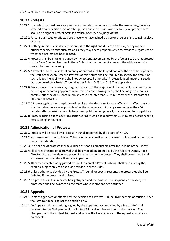2022 Event Rules – Northam's Avon Descent Association Inc.

#### <span id="page-24-0"></span>**10.22 Protests**

- **10.22.1** The right to protest lies solely with any competitor who may consider themselves aggrieved or affected by any decision, act or other person connected with Avon Descent except that there shall be no right of protest against a refusal of entry or a judge of fact.
- **10.22.2** Persons aggrieved or affected are those who have gained a place or prize or stand to gain a place or prize.
- **10.22.3** Nothing in this rule shall affect or prejudice the right and duty of an official, acting in their official capacity, to take such action as they may deem proper in any circumstances regardless of whether a protest has been lodged.
- **10.22.4** Protests shall be in writing signed by the entrant, accompanied by the fee of \$110 and addressed to the Race Director. Nothing in these Rules shall be deemed to prevent the withdrawal of a protest before the hearing.
- **10.22.5** A Protest as to the validity of an entry or entrant shall be lodged not later than one hour prior to the start of the Avon Descent. Protests of this nature shall be required to specify the details of such alleged ineligibility and shall not be accepted otherwise. Protests lodged under this section must be heard by a Protest Tribunal as per Rules 10.23.1 - 10.23.7 as applicable.
- **10.22.6** Protests against any mistake, irregularity or act to the prejudice of the Descent, or other matter occurring or becoming apparent while the Descent is taking place, shall be lodged as soon as possible after the occurrence but in any case not later than 30 minutes after the last craft has finished the Descent.
- **10.22.7** A Protest against the compilation of results or the decision of a race official that affects results shall be lodged as soon as possible after the occurrence but in any case not later than 30 minutes after provisional results have been published or generally made known to competitors.
- **10.22.8** Protests arising out of post-race scrutineering must be lodged within 30 minutes of scrutineering results being announced.

#### <span id="page-24-1"></span>**10.23 Adjudication of Protests**

- **10.23.1** Protests will be heard by a Protest Tribunal appointed by the Board of NADA.
- **10.23.2** No person may sit on a Protest Tribunal who may be directly concerned or involved in the matter under consideration.
- **10.23.3** The hearing of protests shall take place as soon as practicable after the lodging of the Protest.
- **10.23.4** All parties affected or aggrieved shall be given adequate notice by the relevant Deputy Race Director of the time, date and place of the hearing of the protest. They shall be entitled to call witnesses, but shall state their case in person.
- **10.23.5** All parties affected or aggrieved by the decision of a Protest Tribunal shall be bound by the decision subject only to appeal as provided in these Rules.
- **10.23.6** Unless otherwise decided by the Protest Tribunal for special reasons, the protest fee shall be forfeited if the protest is dismissed.
- **10.23.7** If a protest results in a motor being stripped and the protest is subsequently dismissed, the protest fee shall be awarded to the team whose motor has been stripped.

#### <span id="page-24-2"></span>**10.24 Appeals**

- **10.24.1** Persons aggrieved or affected by the decision of a Protest Tribunal (competitors or officials) have the right to Appeal against the decision only.
- **10.24.2** An Appeal shall be in writing, signed by the appellant, accompanied by a fee of \$100 and delivered to the Chairperson of the Protest Tribunal within one hour of the decision. The Chairperson of the Protest Tribunal shall advise the Race Director of the Appeal as soon as is practicable.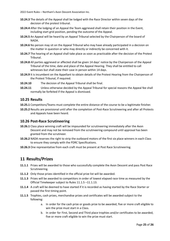- **10.24.3** The details of the Appeal shall be lodged with the Race Director within seven days of the decision of the protest tribunal.
- **10.24.4** After the lodging of an Appeal the Team aggrieved shall retain their position in the Event, including start grid position, pending the outcome of the Appeal.
- **10.24.5** An Appeal will be heard by an Appeal Tribunal selected by the Chairperson of the board of NADA.
- **10.24.6** No person may sit on the Appeal Tribunal who may have already participated in a decision on the matter in question or who may directly or indirectly be concerned with it.
- **10.24.7** The hearing of an Appeal shall take place as soon as practicable after the decision of the Protest Tribunal.
- **10.24.8** All parties aggrieved or affected shall be given 14 days' notice by the Chairperson of the Appeal Tribunal of the time, date and place of the Appeal Hearing. They shall be entitled to call witnesses but shall state their case in person within 14 days.
- **10.24.9** It is incumbent on the Appellant to obtain details of the Protest Hearing from the Chairperson of the Protest Tribunal, if required.
- **10.24.10** The decision of the Appeal Tribunal shall be final.
- **10.24.11** Unless otherwise decided by the Appeal Tribunal for special reasons the Appeal fee shall normally be forfeited if the Appeal is dismissed.

#### <span id="page-25-0"></span>**10.25 Results**

- **10.25.1** Competitors/Teams must complete the entire distance of the course to be a legitimate finisher.
- **10.25.2** Results are provisional until after the completion of Post-Race Scrutineering and after all Protests and Appeals have been heard.

#### <span id="page-25-1"></span>**10.26 Post-Race Scrutineering**

- **10.26.1** Class place winning craft will be impounded for scrutineering immediately after the Avon Descent and may not be removed from the scrutineering compound until approval has been granted from the scrutineer.
- **10.26.2** NADA reserves the right to strip the outboard motors of the first six place winners in each Class to ensure they comply with the PDRC Specifications.
- <span id="page-25-2"></span>**10.26.3** One representative from each craft must be present at Post Race Scrutineering.

## **11 Results/Prizes**

- **11.1.1** Prizes will be awarded to those who successfully complete the Avon Descent and pass Post Race Scrutineering.
- **11.1.2** Only those prizes identified in the official prize list will be awarded.
- **11.1.3** Prizes will be awarded to competitors in order of lowest elapsed race time as measured by the Official Timekeeper subject to Rules 11.1.5 –11.1.13.
- **11.1.4** A craft will be deemed to have started if it is recorded as having started by the Race Starter or passed the first timing point.
- **11.1.5** Trophies, cash prizes, merchandise prizes and certificates will be awarded subject to the following:
	- a. In order for the cash prize or goods prize to be awarded, five or more craft eligible to win the prize must start in a Class.
	- b. In order for First, Second and Third place trophies and/or certificates to be awarded, five or more craft eligible to win the prize must start.